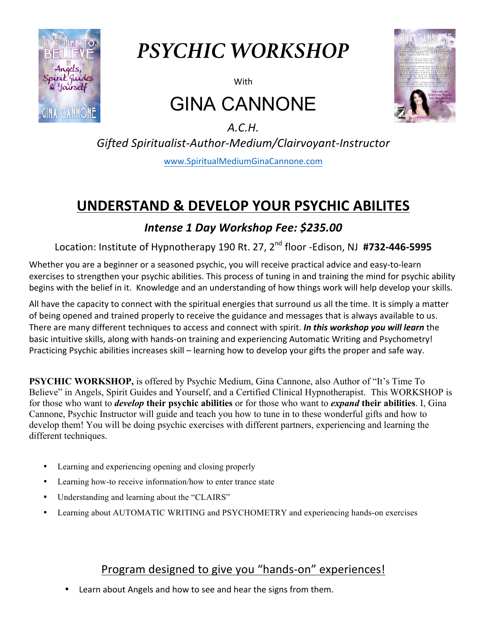

# *PSYCHIC WORKSHOP*

**With** 

# GINA CANNONE



*A.C.H. Gifted Spiritualist-Author-Medium/Clairvoyant-Instructor* www.SpiritualMediumGinaCannone.com

## **UNDERSTAND & DEVELOP YOUR PSYCHIC ABILITES**

### *Intense 1 Day Workshop Fee: \$235.00*

Location: Institute of Hypnotherapy 190 Rt. 27, 2<sup>nd</sup> floor -Edison, NJ #732-446-5995

Whether you are a beginner or a seasoned psychic, you will receive practical advice and easy-to-learn exercises to strengthen your psychic abilities. This process of tuning in and training the mind for psychic ability begins with the belief in it. Knowledge and an understanding of how things work will help develop your skills.

All have the capacity to connect with the spiritual energies that surround us all the time. It is simply a matter of being opened and trained properly to receive the guidance and messages that is always available to us. There are many different techniques to access and connect with spirit. *In this workshop you will learn* the basic intuitive skills, along with hands-on training and experiencing Automatic Writing and Psychometry! Practicing Psychic abilities increases skill – learning how to develop your gifts the proper and safe way.

**PSYCHIC WORKSHOP,** is offered by Psychic Medium, Gina Cannone, also Author of "It's Time To Believe" in Angels, Spirit Guides and Yourself, and a Certified Clinical Hypnotherapist. This WORKSHOP is for those who want to *develop* **their psychic abilities** or for those who want to *expand* **their abilities**. I, Gina Cannone, Psychic Instructor will guide and teach you how to tune in to these wonderful gifts and how to develop them! You will be doing psychic exercises with different partners, experiencing and learning the different techniques.

- Learning and experiencing opening and closing properly
- Learning how-to receive information/how to enter trance state
- Understanding and learning about the "CLAIRS"
- Learning about AUTOMATIC WRITING and PSYCHOMETRY and experiencing hands-on exercises

### Program designed to give you "hands-on" experiences!

Learn about Angels and how to see and hear the signs from them.